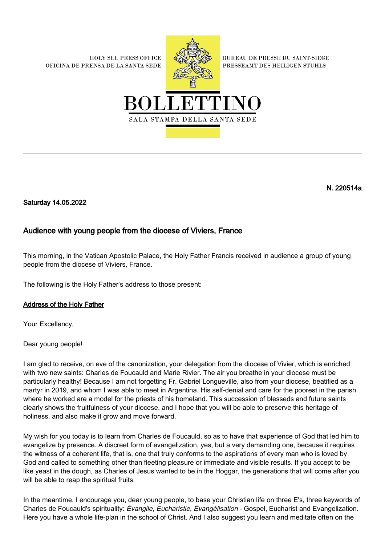**HOLY SEE PRESS OFFICE** OFICINA DE PRENSA DE LA SANTA SEDE



**BUREAU DE PRESSE DU SAINT-SIEGE** PRESSEAMT DES HEILIGEN STUHLS



N. 220514a

Saturday 14.05.2022

## Audience with young people from the diocese of Viviers, France

This morning, in the Vatican Apostolic Palace, the Holy Father Francis received in audience a group of young people from the diocese of Viviers, France.

The following is the Holy Father's address to those present:

## Address of the Holy Father

Your Excellency,

Dear young people!

I am glad to receive, on eve of the canonization, your delegation from the diocese of Vivier, which is enriched with two new saints: Charles de Foucauld and Marie Rivier. The air you breathe in your diocese must be particularly healthy! Because I am not forgetting Fr. Gabriel Longueville, also from your diocese, beatified as a martyr in 2019, and whom I was able to meet in Argentina. His self-denial and care for the poorest in the parish where he worked are a model for the priests of his homeland. This succession of blesseds and future saints clearly shows the fruitfulness of your diocese, and I hope that you will be able to preserve this heritage of holiness, and also make it grow and move forward.

My wish for you today is to learn from Charles de Foucauld, so as to have that experience of God that led him to evangelize by presence. A discreet form of evangelization, yes, but a very demanding one, because it requires the witness of a coherent life, that is, one that truly conforms to the aspirations of every man who is loved by God and called to something other than fleeting pleasure or immediate and visible results. If you accept to be like yeast in the dough, as Charles of Jesus wanted to be in the Hoggar, the generations that will come after you will be able to reap the spiritual fruits.

In the meantime, I encourage you, dear young people, to base your Christian life on three E's, three keywords of Charles de Foucauld's spirituality: Évangile, Eucharistie, Évangélisation - Gospel, Eucharist and Evangelization. Here you have a whole life-plan in the school of Christ. And I also suggest you learn and meditate often on the